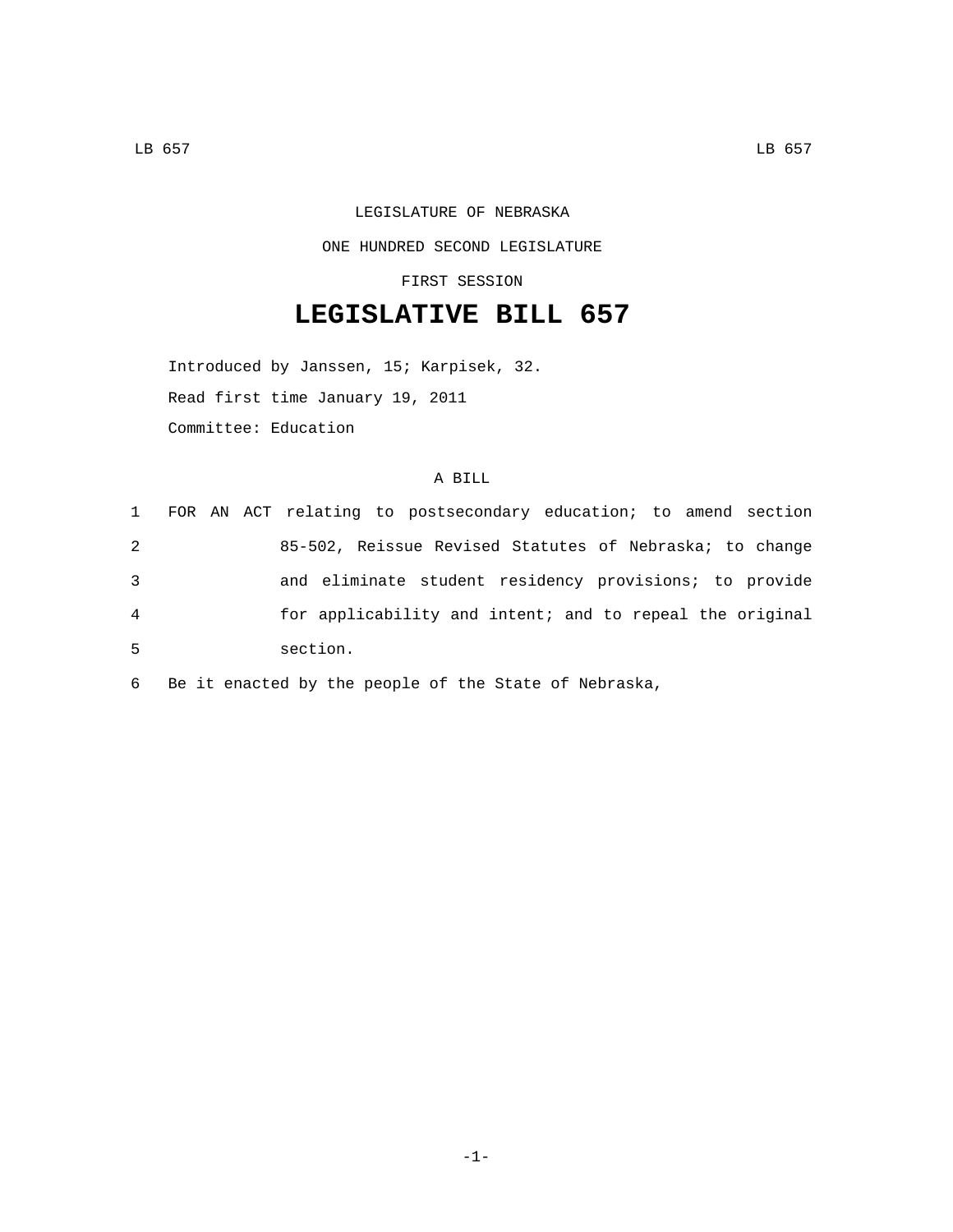## LEGISLATURE OF NEBRASKA ONE HUNDRED SECOND LEGISLATURE

FIRST SESSION

## **LEGISLATIVE BILL 657**

Introduced by Janssen, 15; Karpisek, 32. Read first time January 19, 2011 Committee: Education

## A BILL

|   | 1 FOR AN ACT relating to postsecondary education; to amend section |
|---|--------------------------------------------------------------------|
| 2 | 85-502, Reissue Revised Statutes of Nebraska; to change            |
| 3 | and eliminate student residency provisions; to provide             |
| 4 | for applicability and intent; and to repeal the original           |
| 5 | section.                                                           |

6 Be it enacted by the people of the State of Nebraska,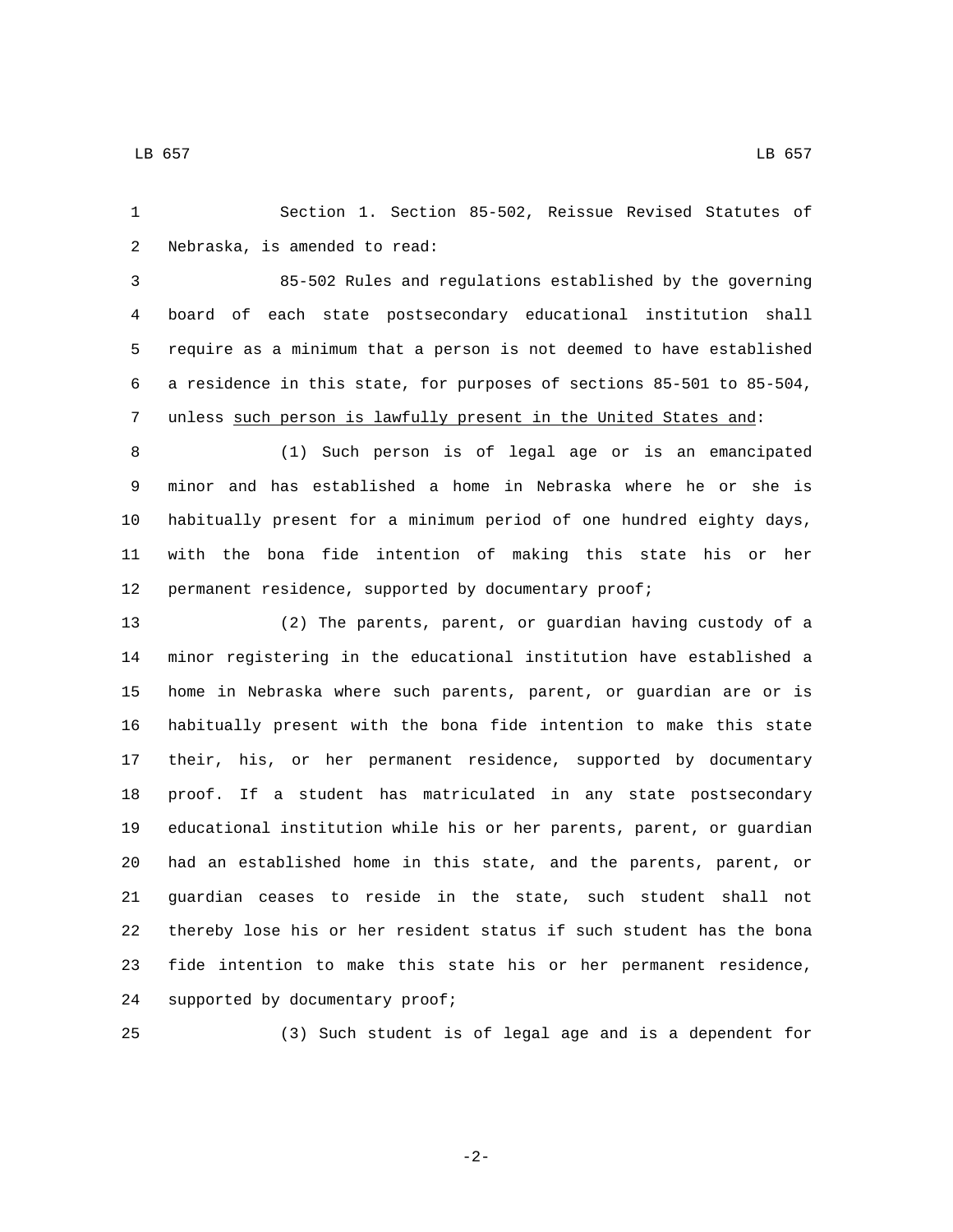Section 1. Section 85-502, Reissue Revised Statutes of 2 Nebraska, is amended to read:

 85-502 Rules and regulations established by the governing board of each state postsecondary educational institution shall require as a minimum that a person is not deemed to have established a residence in this state, for purposes of sections 85-501 to 85-504, unless such person is lawfully present in the United States and:

 (1) Such person is of legal age or is an emancipated minor and has established a home in Nebraska where he or she is habitually present for a minimum period of one hundred eighty days, with the bona fide intention of making this state his or her 12 permanent residence, supported by documentary proof;

 (2) The parents, parent, or guardian having custody of a minor registering in the educational institution have established a home in Nebraska where such parents, parent, or guardian are or is habitually present with the bona fide intention to make this state their, his, or her permanent residence, supported by documentary proof. If a student has matriculated in any state postsecondary educational institution while his or her parents, parent, or guardian had an established home in this state, and the parents, parent, or guardian ceases to reside in the state, such student shall not thereby lose his or her resident status if such student has the bona fide intention to make this state his or her permanent residence, 24 supported by documentary proof;

(3) Such student is of legal age and is a dependent for

-2-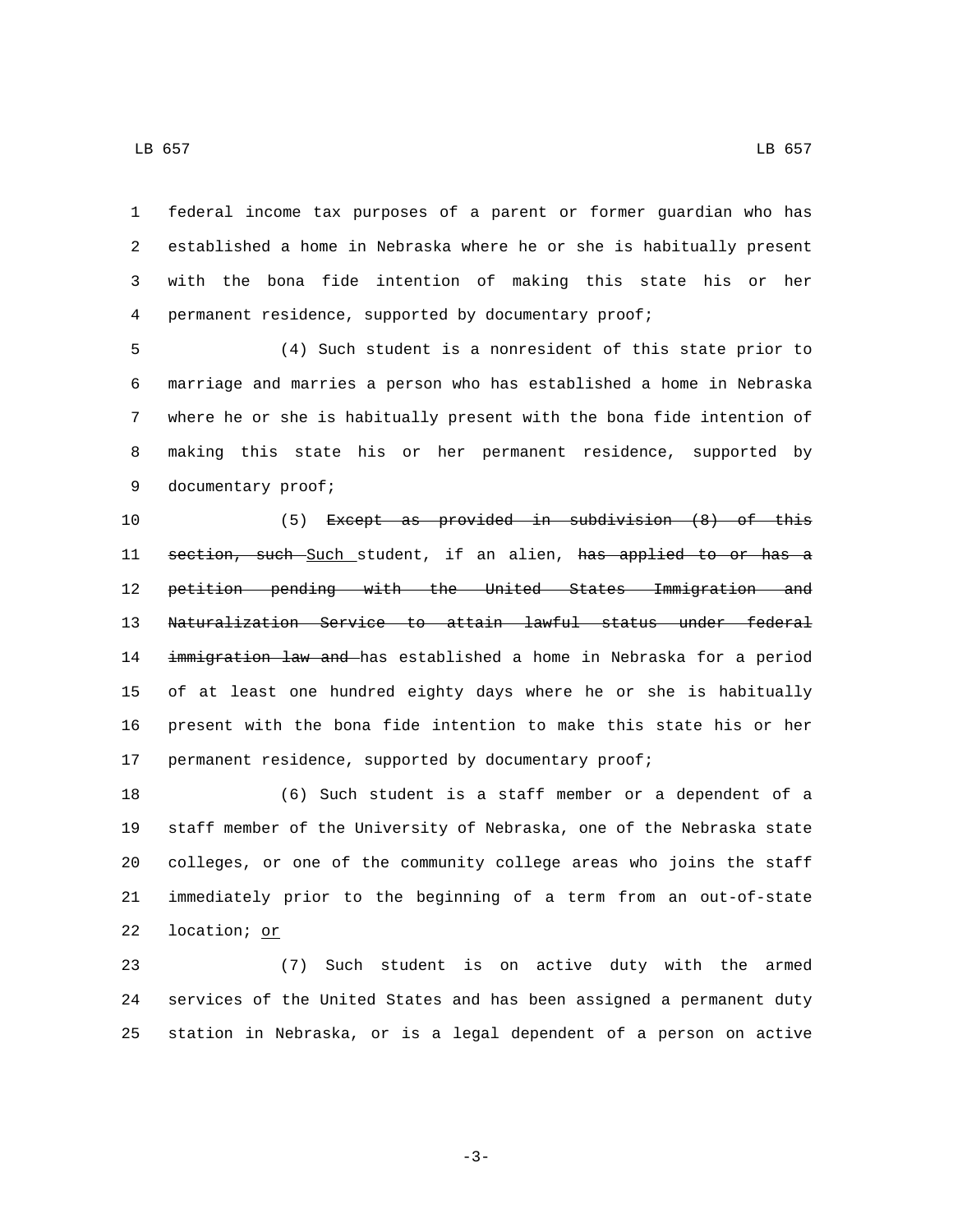$\,$  LB 657  $\,$  LB 657  $\,$ 

 federal income tax purposes of a parent or former guardian who has established a home in Nebraska where he or she is habitually present with the bona fide intention of making this state his or her permanent residence, supported by documentary proof;

 (4) Such student is a nonresident of this state prior to marriage and marries a person who has established a home in Nebraska where he or she is habitually present with the bona fide intention of making this state his or her permanent residence, supported by 9 documentary proof;

 (5) Except as provided in subdivision (8) of this 11 section, such Such student, if an alien, has applied to or has a petition pending with the United States Immigration and Naturalization Service to attain lawful status under federal 14 immigration law and has established a home in Nebraska for a period of at least one hundred eighty days where he or she is habitually present with the bona fide intention to make this state his or her 17 permanent residence, supported by documentary proof;

 (6) Such student is a staff member or a dependent of a staff member of the University of Nebraska, one of the Nebraska state colleges, or one of the community college areas who joins the staff immediately prior to the beginning of a term from an out-of-state 22 location; or

 (7) Such student is on active duty with the armed services of the United States and has been assigned a permanent duty station in Nebraska, or is a legal dependent of a person on active

-3-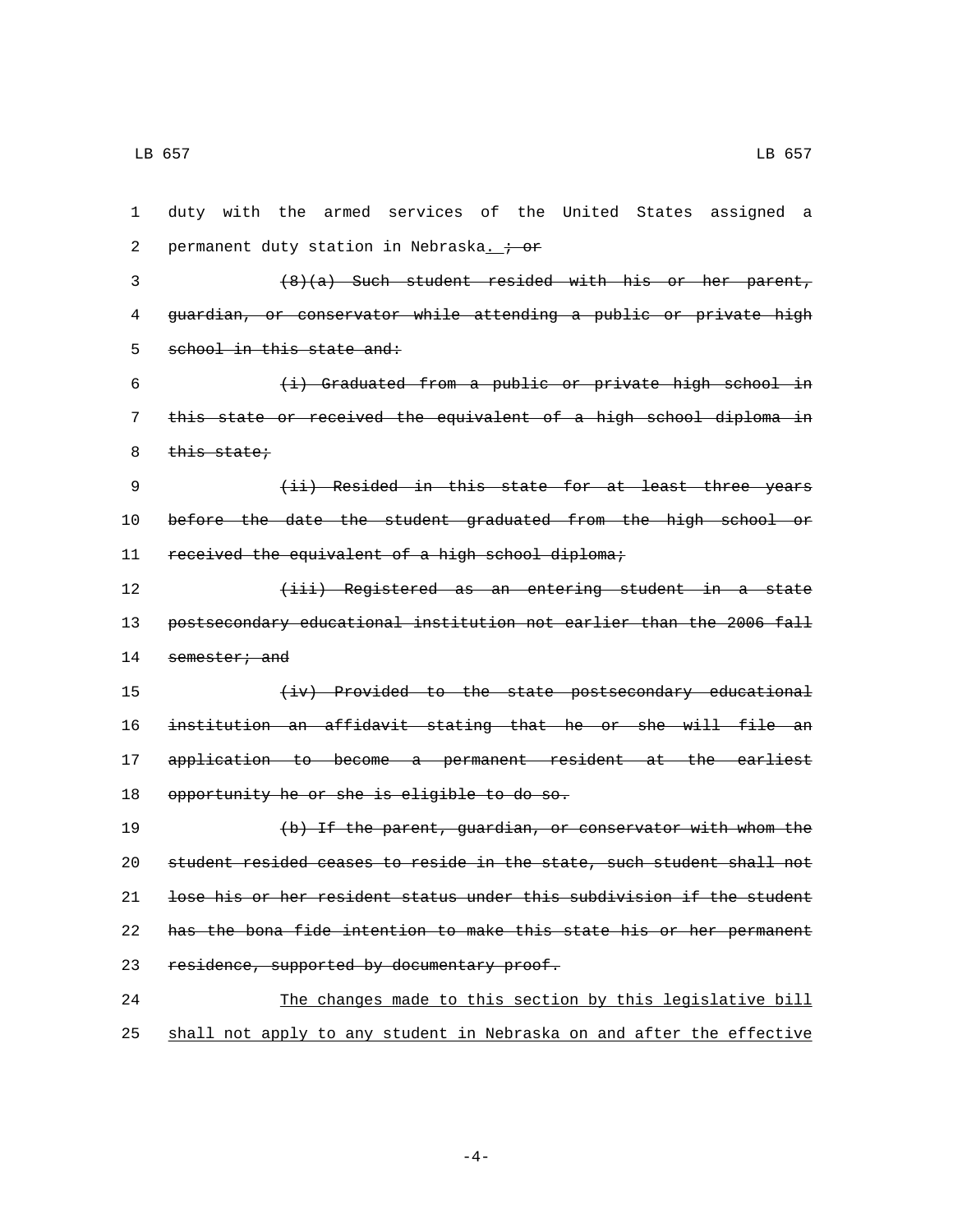1 duty with the armed services of the United States assigned a 2 permanent duty station in Nebraska.  $\div$  or 3 (8)(a) Such student resided with his or her parent, 4 guardian, or conservator while attending a public or private high 5 school in this state and: 6 (i) Graduated from a public or private high school in 7 this state or received the equivalent of a high school diploma in 8 this state; 9 (ii) Resided in this state for at least three years 10 before the date the student graduated from the high school or 11 received the equivalent of a high school diploma; 12 (iii) Registered as an entering student in a state 13 postsecondary educational institution not earlier than the 2006 fall 14 semester; and 15 (iv) Provided to the state postsecondary educational 16 institution an affidavit stating that he or she will file an 17 application to become a permanent resident at the earliest 18 opportunity he or she is eligible to do so. 19 (b) If the parent, guardian, or conservator with whom the 20 student resided ceases to reside in the state, such student shall not 21 lose his or her resident status under this subdivision if the student 22 has the bona fide intention to make this state his or her permanent 23 residence, supported by documentary proof. 24 The changes made to this section by this legislative bill 25 shall not apply to any student in Nebraska on and after the effective